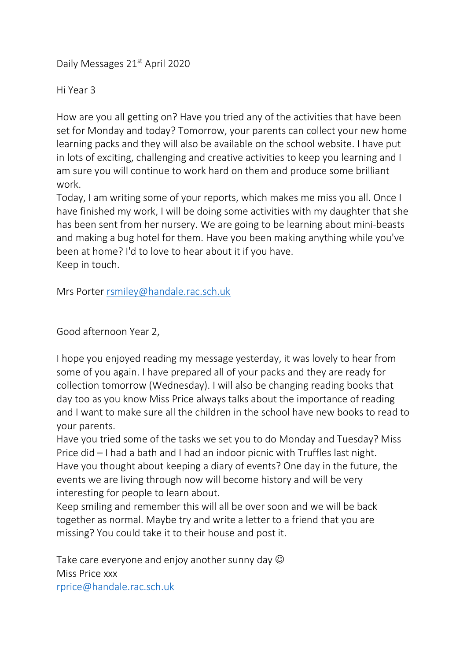Daily Messages 21<sup>st</sup> April 2020

Hi Year 3

How are you all getting on? Have you tried any of the activities that have been set for Monday and today? Tomorrow, your parents can collect your new home learning packs and they will also be available on the school website. I have put in lots of exciting, challenging and creative activities to keep you learning and I am sure you will continue to work hard on them and produce some brilliant work.

Today, I am writing some of your reports, which makes me miss you all. Once I have finished my work, I will be doing some activities with my daughter that she has been sent from her nursery. We are going to be learning about mini-beasts and making a bug hotel for them. Have you been making anything while you've been at home? I'd to love to hear about it if you have. Keep in touch.

Mrs Porter [rsmiley@handale.rac.sch.uk](mailto:rsmiley@handale.rac.sch.uk)

Good afternoon Year 2,

I hope you enjoyed reading my message yesterday, it was lovely to hear from some of you again. I have prepared all of your packs and they are ready for collection tomorrow (Wednesday). I will also be changing reading books that day too as you know Miss Price always talks about the importance of reading and I want to make sure all the children in the school have new books to read to your parents.

Have you tried some of the tasks we set you to do Monday and Tuesday? Miss Price did – I had a bath and I had an indoor picnic with Truffles last night. Have you thought about keeping a diary of events? One day in the future, the events we are living through now will become history and will be very interesting for people to learn about.

Keep smiling and remember this will all be over soon and we will be back together as normal. Maybe try and write a letter to a friend that you are missing? You could take it to their house and post it.

Take care everyone and enjoy another sunny day  $\odot$ Miss Price xxx [rprice@handale.rac.sch.uk](mailto:rprice@handale.rac.sch.uk)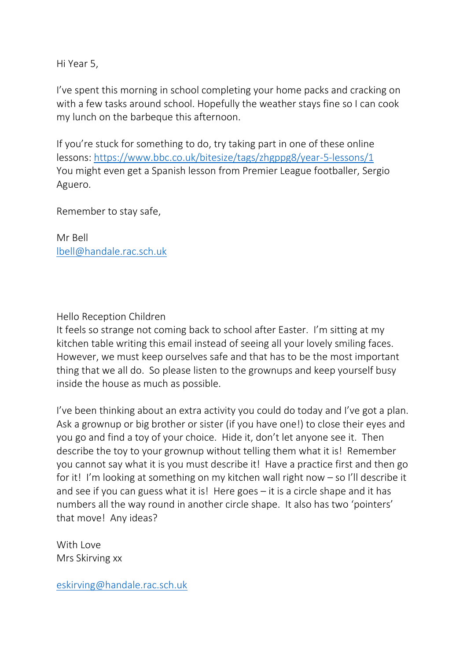Hi Year 5,

I've spent this morning in school completing your home packs and cracking on with a few tasks around school. Hopefully the weather stays fine so I can cook my lunch on the barbeque this afternoon.

If you're stuck for something to do, try taking part in one of these online lessons: <https://www.bbc.co.uk/bitesize/tags/zhgppg8/year-5-lessons/1> You might even get a Spanish lesson from Premier League footballer, Sergio Aguero.

Remember to stay safe,

Mr Bell [lbell@handale.rac.sch.uk](mailto:lbell@handale.rac.sch.uk)

## Hello Reception Children

It feels so strange not coming back to school after Easter. I'm sitting at my kitchen table writing this email instead of seeing all your lovely smiling faces. However, we must keep ourselves safe and that has to be the most important thing that we all do. So please listen to the grownups and keep yourself busy inside the house as much as possible.

I've been thinking about an extra activity you could do today and I've got a plan. Ask a grownup or big brother or sister (if you have one!) to close their eyes and you go and find a toy of your choice. Hide it, don't let anyone see it. Then describe the toy to your grownup without telling them what it is! Remember you cannot say what it is you must describe it! Have a practice first and then go for it! I'm looking at something on my kitchen wall right now – so I'll describe it and see if you can guess what it is! Here goes – it is a circle shape and it has numbers all the way round in another circle shape. It also has two 'pointers' that move! Any ideas?

With Love Mrs Skirving xx

[eskirving@handale.rac.sch.uk](mailto:eskirving@handale.rac.sch.uk)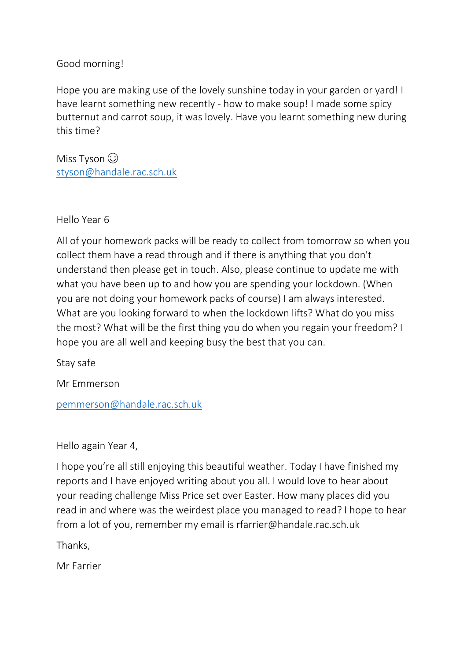## Good morning!

Hope you are making use of the lovely sunshine today in your garden or yard! I have learnt something new recently - how to make soup! I made some spicy butternut and carrot soup, it was lovely. Have you learnt something new during this time?

Miss Tyson  $\odot$ [styson@handale.rac.sch.uk](mailto:styson@handale.rac.sch.uk)

Hello Year 6

All of your homework packs will be ready to collect from tomorrow so when you collect them have a read through and if there is anything that you don't understand then please get in touch. Also, please continue to update me with what you have been up to and how you are spending your lockdown. (When you are not doing your homework packs of course) I am always interested. What are you looking forward to when the lockdown lifts? What do you miss the most? What will be the first thing you do when you regain your freedom? I hope you are all well and keeping busy the best that you can.

Stay safe

Mr Emmerson

[pemmerson@handale.rac.sch.uk](mailto:pemmerson@handale.rac.sch.uk)

Hello again Year 4,

I hope you're all still enjoying this beautiful weather. Today I have finished my reports and I have enjoyed writing about you all. I would love to hear about your reading challenge Miss Price set over Easter. How many places did you read in and where was the weirdest place you managed to read? I hope to hear from a lot of you, remember my email is rfarrier@handale.rac.sch.uk

Thanks,

Mr Farrier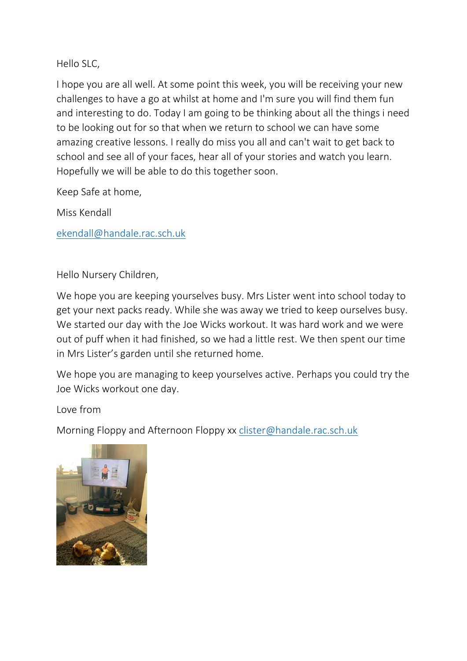Hello SLC,

I hope you are all well. At some point this week, you will be receiving your new challenges to have a go at whilst at home and I'm sure you will find them fun and interesting to do. Today I am going to be thinking about all the things i need to be looking out for so that when we return to school we can have some amazing creative lessons. I really do miss you all and can't wait to get back to school and see all of your faces, hear all of your stories and watch you learn. Hopefully we will be able to do this together soon.

Keep Safe at home,

Miss Kendall

[ekendall@handale.rac.sch.uk](mailto:ekendall@handale.rac.sch.uk)

Hello Nursery Children,

We hope you are keeping yourselves busy. Mrs Lister went into school today to get your next packs ready. While she was away we tried to keep ourselves busy. We started our day with the Joe Wicks workout. It was hard work and we were out of puff when it had finished, so we had a little rest. We then spent our time in Mrs Lister's garden until she returned home.

We hope you are managing to keep yourselves active. Perhaps you could try the Joe Wicks workout one day.

Love from

Morning Floppy and Afternoon Floppy xx [clister@handale.rac.sch.uk](mailto:clister@handale.rac.sch.uk)